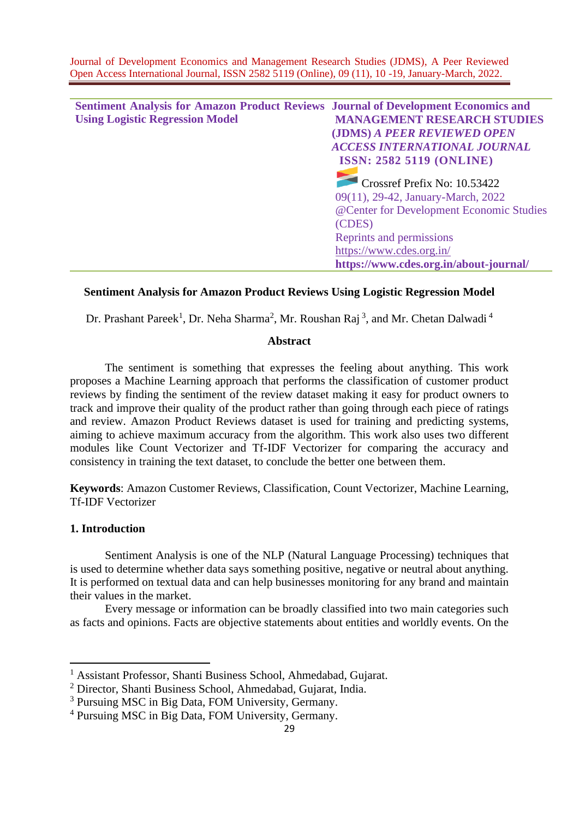| <b>Sentiment Analysis for Amazon Product Reviews Journal of Development Economics and</b> |                                          |
|-------------------------------------------------------------------------------------------|------------------------------------------|
| <b>Using Logistic Regression Model</b>                                                    | <b>MANAGEMENT RESEARCH STUDIES</b>       |
|                                                                                           | (JDMS) A PEER REVIEWED OPEN              |
|                                                                                           | <b>ACCESS INTERNATIONAL JOURNAL</b>      |
|                                                                                           | <b>ISSN: 2582 5119 (ONLINE)</b>          |
|                                                                                           | Crossref Prefix No: 10.53422             |
|                                                                                           | 09(11), 29-42, January-March, 2022       |
|                                                                                           | @Center for Development Economic Studies |
|                                                                                           | (CDES)                                   |
|                                                                                           | Reprints and permissions                 |
|                                                                                           | https://www.cdes.org.in/                 |
|                                                                                           | https://www.cdes.org.in/about-journal/   |

# **Sentiment Analysis for Amazon Product Reviews Using Logistic Regression Model**

Dr. Prashant Pareek<sup>1</sup>, Dr. Neha Sharma<sup>2</sup>, Mr. Roushan Raj<sup>3</sup>, and Mr. Chetan Dalwadi<sup>4</sup>

# **Abstract**

The sentiment is something that expresses the feeling about anything. This work proposes a Machine Learning approach that performs the classification of customer product reviews by finding the sentiment of the review dataset making it easy for product owners to track and improve their quality of the product rather than going through each piece of ratings and review. Amazon Product Reviews dataset is used for training and predicting systems, aiming to achieve maximum accuracy from the algorithm. This work also uses two different modules like Count Vectorizer and Tf-IDF Vectorizer for comparing the accuracy and consistency in training the text dataset, to conclude the better one between them.

**Keywords**: Amazon Customer Reviews, Classification, Count Vectorizer, Machine Learning, Tf-IDF Vectorizer

# **1. Introduction**

Sentiment Analysis is one of the NLP (Natural Language Processing) techniques that is used to determine whether data says something positive, negative or neutral about anything. It is performed on textual data and can help businesses monitoring for any brand and maintain their values in the market.

Every message or information can be broadly classified into two main categories such as facts and opinions. Facts are objective statements about entities and worldly events. On the

<sup>&</sup>lt;sup>1</sup> Assistant Professor, Shanti Business School, Ahmedabad, Gujarat.

<sup>2</sup> Director, Shanti Business School, Ahmedabad, Gujarat, India.

<sup>3</sup> Pursuing MSC in Big Data, FOM University, Germany.

<sup>4</sup> Pursuing MSC in Big Data, FOM University, Germany.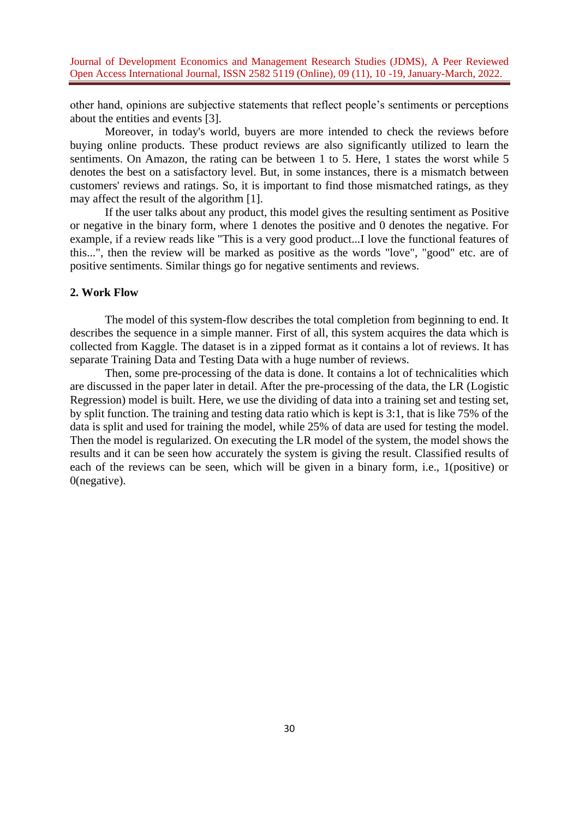other hand, opinions are subjective statements that reflect people's sentiments or perceptions about the entities and events [3].

Moreover, in today's world, buyers are more intended to check the reviews before buying online products. These product reviews are also significantly utilized to learn the sentiments. On Amazon, the rating can be between 1 to 5. Here, 1 states the worst while 5 denotes the best on a satisfactory level. But, in some instances, there is a mismatch between customers' reviews and ratings. So, it is important to find those mismatched ratings, as they may affect the result of the algorithm [1].

If the user talks about any product, this model gives the resulting sentiment as Positive or negative in the binary form, where 1 denotes the positive and 0 denotes the negative. For example, if a review reads like "This is a very good product...I love the functional features of this...", then the review will be marked as positive as the words "love", "good" etc. are of positive sentiments. Similar things go for negative sentiments and reviews.

## **2. Work Flow**

The model of this system-flow describes the total completion from beginning to end. It describes the sequence in a simple manner. First of all, this system acquires the data which is collected from Kaggle. The dataset is in a zipped format as it contains a lot of reviews. It has separate Training Data and Testing Data with a huge number of reviews.

Then, some pre-processing of the data is done. It contains a lot of technicalities which are discussed in the paper later in detail. After the pre-processing of the data, the LR (Logistic Regression) model is built. Here, we use the dividing of data into a training set and testing set, by split function. The training and testing data ratio which is kept is 3:1, that is like 75% of the data is split and used for training the model, while 25% of data are used for testing the model. Then the model is regularized. On executing the LR model of the system, the model shows the results and it can be seen how accurately the system is giving the result. Classified results of each of the reviews can be seen, which will be given in a binary form, i.e., 1(positive) or 0(negative).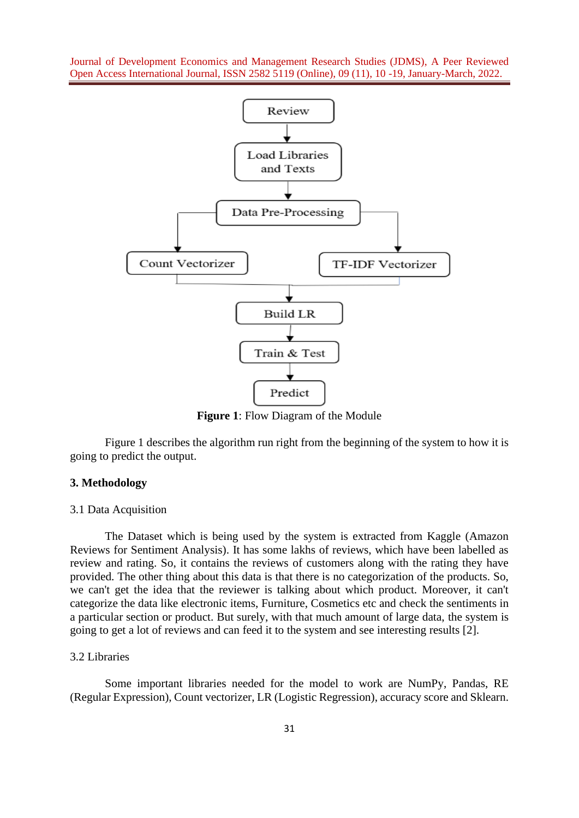

**Figure 1**: Flow Diagram of the Module

Figure 1 describes the algorithm run right from the beginning of the system to how it is going to predict the output.

## **3. Methodology**

## 3.1 Data Acquisition

The Dataset which is being used by the system is extracted from Kaggle (Amazon Reviews for Sentiment Analysis). It has some lakhs of reviews, which have been labelled as review and rating. So, it contains the reviews of customers along with the rating they have provided. The other thing about this data is that there is no categorization of the products. So, we can't get the idea that the reviewer is talking about which product. Moreover, it can't categorize the data like electronic items, Furniture, Cosmetics etc and check the sentiments in a particular section or product. But surely, with that much amount of large data, the system is going to get a lot of reviews and can feed it to the system and see interesting results [2].

#### 3.2 Libraries

Some important libraries needed for the model to work are NumPy, Pandas, RE (Regular Expression), Count vectorizer, LR (Logistic Regression), accuracy score and Sklearn.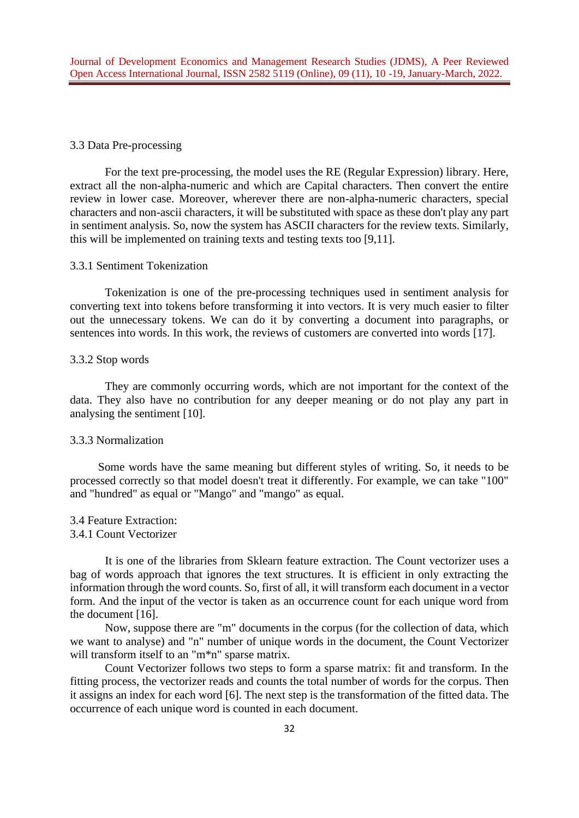### 3.3 Data Pre-processing

For the text pre-processing, the model uses the RE (Regular Expression) library. Here, extract all the non-alpha-numeric and which are Capital characters. Then convert the entire review in lower case. Moreover, wherever there are non-alpha-numeric characters, special characters and non-ascii characters, it will be substituted with space as these don't play any part in sentiment analysis. So, now the system has ASCII characters for the review texts. Similarly, this will be implemented on training texts and testing texts too [9,11].

#### 3.3.1 Sentiment Tokenization

Tokenization is one of the pre-processing techniques used in sentiment analysis for converting text into tokens before transforming it into vectors. It is very much easier to filter out the unnecessary tokens. We can do it by converting a document into paragraphs, or sentences into words. In this work, the reviews of customers are converted into words [17].

#### 3.3.2 Stop words

They are commonly occurring words, which are not important for the context of the data. They also have no contribution for any deeper meaning or do not play any part in analysing the sentiment [10].

## 3.3.3 Normalization

Some words have the same meaning but different styles of writing. So, it needs to be processed correctly so that model doesn't treat it differently. For example, we can take "100" and "hundred" as equal or "Mango" and "mango" as equal.

3.4 Feature Extraction: 3.4.1 Count Vectorizer

It is one of the libraries from Sklearn feature extraction. The Count vectorizer uses a bag of words approach that ignores the text structures. It is efficient in only extracting the information through the word counts. So, first of all, it will transform each document in a vector form. And the input of the vector is taken as an occurrence count for each unique word from the document [16].

Now, suppose there are "m" documents in the corpus (for the collection of data, which we want to analyse) and "n" number of unique words in the document, the Count Vectorizer will transform itself to an "m\*n" sparse matrix.

Count Vectorizer follows two steps to form a sparse matrix: fit and transform. In the fitting process, the vectorizer reads and counts the total number of words for the corpus. Then it assigns an index for each word [6]. The next step is the transformation of the fitted data. The occurrence of each unique word is counted in each document.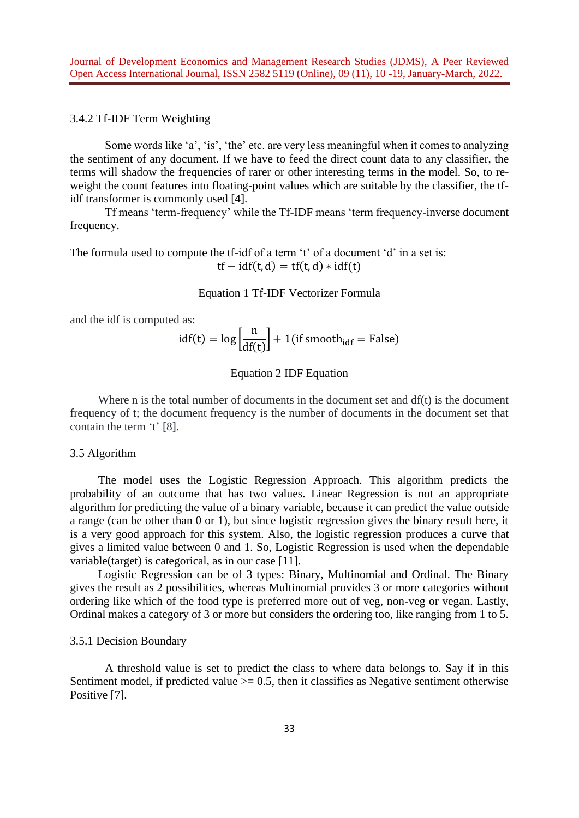## 3.4.2 Tf-IDF Term Weighting

Some words like 'a', 'is', 'the' etc. are very less meaningful when it comes to analyzing the sentiment of any document. If we have to feed the direct count data to any classifier, the terms will shadow the frequencies of rarer or other interesting terms in the model. So, to reweight the count features into floating-point values which are suitable by the classifier, the tfidf transformer is commonly used [4].

Tf means 'term-frequency' while the Tf-IDF means 'term frequency-inverse document frequency.

The formula used to compute the tf-idf of a term 't' of a document 'd' in a set is:  $tf - idf(t, d) = tf(t, d) * idf(t)$ 

Equation 1 Tf-IDF Vectorizer Formula

and the idf is computed as:

$$
idf(t) = log \left[ \frac{n}{df(t)} \right] + 1 (if smooth_{idf} = False)
$$

## Equation 2 IDF Equation

Where n is the total number of documents in the document set and df(t) is the document frequency of t; the document frequency is the number of documents in the document set that contain the term 't' [8].

3.5 Algorithm

The model uses the Logistic Regression Approach. This algorithm predicts the probability of an outcome that has two values. Linear Regression is not an appropriate algorithm for predicting the value of a binary variable, because it can predict the value outside a range (can be other than 0 or 1), but since logistic regression gives the binary result here, it is a very good approach for this system. Also, the logistic regression produces a curve that gives a limited value between 0 and 1. So, Logistic Regression is used when the dependable variable(target) is categorical, as in our case [11].

Logistic Regression can be of 3 types: Binary, Multinomial and Ordinal. The Binary gives the result as 2 possibilities, whereas Multinomial provides 3 or more categories without ordering like which of the food type is preferred more out of veg, non-veg or vegan. Lastly, Ordinal makes a category of 3 or more but considers the ordering too, like ranging from 1 to 5.

## 3.5.1 Decision Boundary

A threshold value is set to predict the class to where data belongs to. Say if in this Sentiment model, if predicted value  $\ge$  = 0.5, then it classifies as Negative sentiment otherwise Positive [7].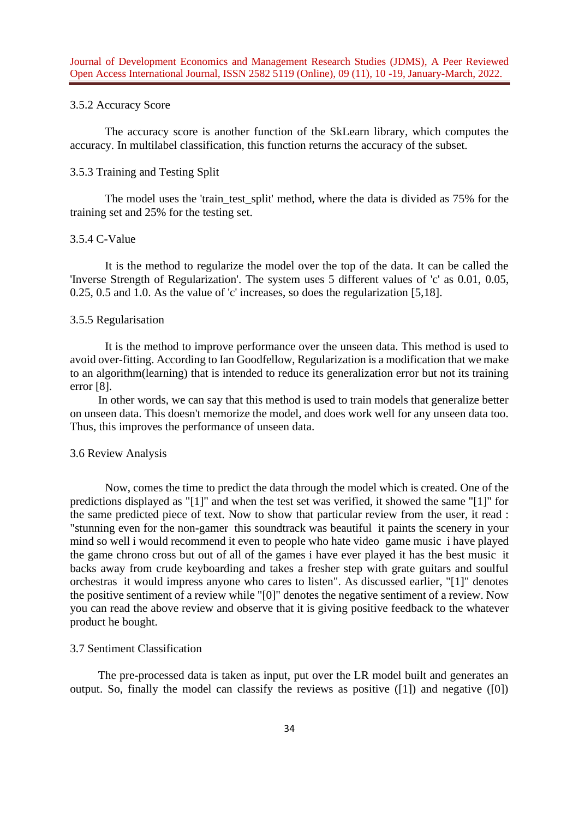### 3.5.2 Accuracy Score

The accuracy score is another function of the SkLearn library, which computes the accuracy. In multilabel classification, this function returns the accuracy of the subset.

### 3.5.3 Training and Testing Split

The model uses the 'train\_test\_split' method, where the data is divided as 75% for the training set and 25% for the testing set.

## 3.5.4 C-Value

It is the method to regularize the model over the top of the data. It can be called the 'Inverse Strength of Regularization'. The system uses 5 different values of 'c' as 0.01, 0.05, 0.25, 0.5 and 1.0. As the value of 'c' increases, so does the regularization [5,18].

### 3.5.5 Regularisation

It is the method to improve performance over the unseen data. This method is used to avoid over-fitting. According to Ian Goodfellow, Regularization is a modification that we make to an algorithm(learning) that is intended to reduce its generalization error but not its training error [8].

In other words, we can say that this method is used to train models that generalize better on unseen data. This doesn't memorize the model, and does work well for any unseen data too. Thus, this improves the performance of unseen data.

#### 3.6 Review Analysis

 Now, comes the time to predict the data through the model which is created. One of the predictions displayed as "[1]" and when the test set was verified, it showed the same "[1]" for the same predicted piece of text. Now to show that particular review from the user, it read : "stunning even for the non-gamer this soundtrack was beautiful it paints the scenery in your mind so well i would recommend it even to people who hate video game music i have played the game chrono cross but out of all of the games i have ever played it has the best music it backs away from crude keyboarding and takes a fresher step with grate guitars and soulful orchestras it would impress anyone who cares to listen". As discussed earlier, "[1]" denotes the positive sentiment of a review while "[0]" denotes the negative sentiment of a review. Now you can read the above review and observe that it is giving positive feedback to the whatever product he bought.

#### 3.7 Sentiment Classification

The pre-processed data is taken as input, put over the LR model built and generates an output. So, finally the model can classify the reviews as positive  $(1]$ ) and negative  $(0]$ )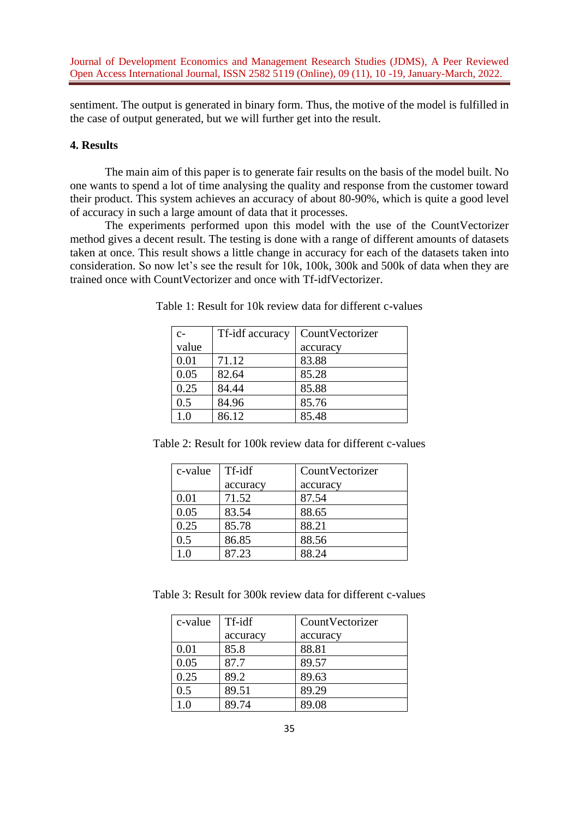sentiment. The output is generated in binary form. Thus, the motive of the model is fulfilled in the case of output generated, but we will further get into the result.

# **4. Results**

 The main aim of this paper is to generate fair results on the basis of the model built. No one wants to spend a lot of time analysing the quality and response from the customer toward their product. This system achieves an accuracy of about 80-90%, which is quite a good level of accuracy in such a large amount of data that it processes.

The experiments performed upon this model with the use of the CountVectorizer method gives a decent result. The testing is done with a range of different amounts of datasets taken at once. This result shows a little change in accuracy for each of the datasets taken into consideration. So now let's see the result for 10k, 100k, 300k and 500k of data when they are trained once with CountVectorizer and once with Tf-idfVectorizer.

| $C-$  | Tf-idf accuracy | CountVectorizer |
|-------|-----------------|-----------------|
| value |                 | accuracy        |
| 0.01  | 71.12           | 83.88           |
| 0.05  | 82.64           | 85.28           |
| 0.25  | 84.44           | 85.88           |
| 0.5   | 84.96           | 85.76           |
| 1.0   | 86.12           | 85.48           |

Table 1: Result for 10k review data for different c-values

Table 2: Result for 100k review data for different c-values

| c-value | Tf-idf   | CountVectorizer |  |  |
|---------|----------|-----------------|--|--|
|         | accuracy | accuracy        |  |  |
| 0.01    | 71.52    | 87.54           |  |  |
| 0.05    | 83.54    | 88.65           |  |  |
| 0.25    | 85.78    | 88.21           |  |  |
| 0.5     | 86.85    | 88.56           |  |  |
| 1.0     | 87.23    | 88.24           |  |  |

Table 3: Result for 300k review data for different c-values

| c-value | Tf-idf   | CountVectorizer |  |  |
|---------|----------|-----------------|--|--|
|         | accuracy | accuracy        |  |  |
| 0.01    | 85.8     | 88.81           |  |  |
| 0.05    | 87.7     | 89.57           |  |  |
| 0.25    | 89.2     | 89.63           |  |  |
| 0.5     | 89.51    | 89.29           |  |  |
| ി∩      | 89.74    | 89.08           |  |  |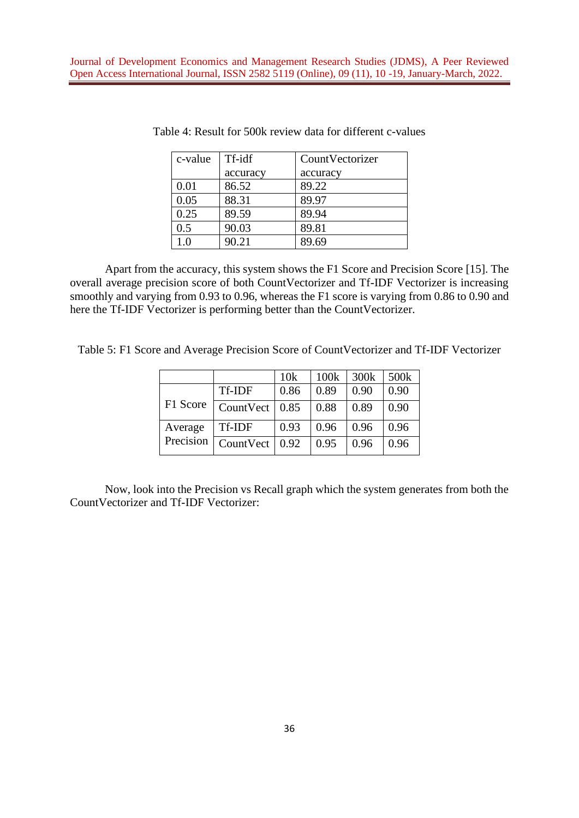| c-value | Tf-idf   | CountVectorizer |  |
|---------|----------|-----------------|--|
|         | accuracy | accuracy        |  |
| 0.01    | 86.52    | 89.22           |  |
| 0.05    | 88.31    | 89.97           |  |
| 0.25    | 89.59    | 89.94           |  |
| 0.5     | 90.03    | 89.81           |  |
| 1.0     | 90.21    | 89.69           |  |

Table 4: Result for 500k review data for different c-values

Apart from the accuracy, this system shows the F1 Score and Precision Score [15]. The overall average precision score of both CountVectorizer and Tf-IDF Vectorizer is increasing smoothly and varying from 0.93 to 0.96, whereas the F1 score is varying from 0.86 to 0.90 and here the Tf-IDF Vectorizer is performing better than the CountVectorizer.

Table 5: F1 Score and Average Precision Score of CountVectorizer and Tf-IDF Vectorizer

|           |               | 10k  | 100k | 300k | 500 <sub>k</sub> |
|-----------|---------------|------|------|------|------------------|
|           | <b>Tf-IDF</b> | 0.86 | 0.89 | 0.90 | 0.90             |
| F1 Score  | CountVect     | 0.85 | 0.88 | 0.89 | 0.90             |
| Average   | Tf-IDF        | 0.93 | 0.96 | 0.96 | 0.96             |
| Precision | CountVect     | 0.92 | 0.95 | 0.96 | 0.96             |

Now, look into the Precision vs Recall graph which the system generates from both the CountVectorizer and Tf-IDF Vectorizer: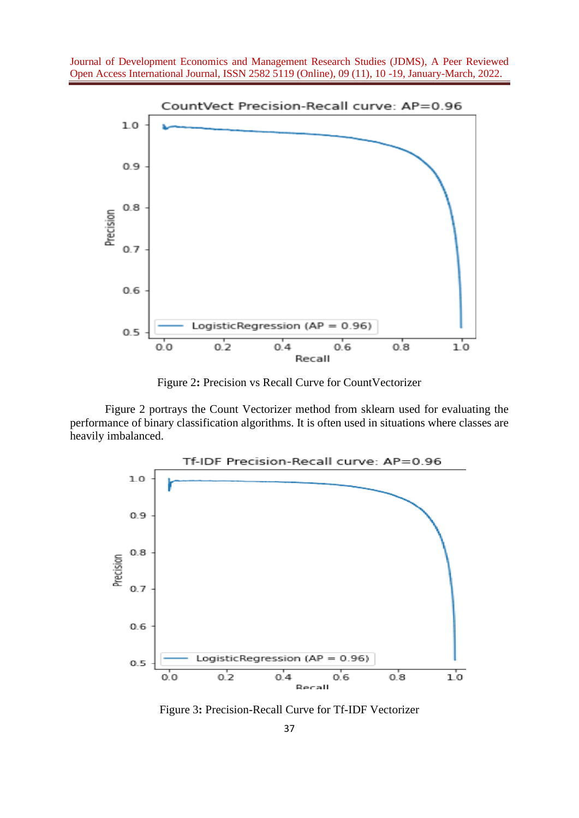

Figure 2**:** Precision vs Recall Curve for CountVectorizer

Figure 2 portrays the Count Vectorizer method from sklearn used for evaluating the performance of binary classification algorithms. It is often used in situations where classes are heavily imbalanced.



Figure 3**:** Precision-Recall Curve for Tf-IDF Vectorizer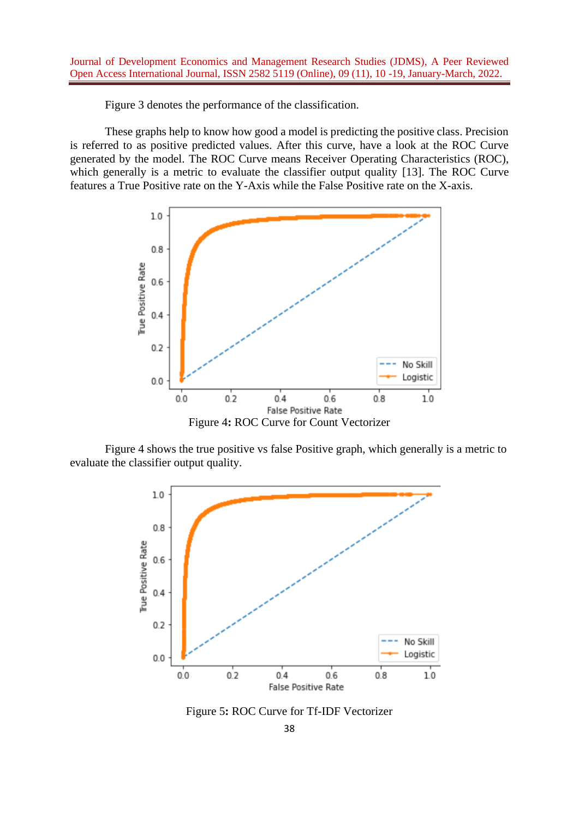Figure 3 denotes the performance of the classification.

These graphs help to know how good a model is predicting the positive class. Precision is referred to as positive predicted values. After this curve, have a look at the ROC Curve generated by the model. The ROC Curve means Receiver Operating Characteristics (ROC), which generally is a metric to evaluate the classifier output quality [13]. The ROC Curve features a True Positive rate on the Y-Axis while the False Positive rate on the X-axis.



Figure 4 shows the true positive vs false Positive graph, which generally is a metric to evaluate the classifier output quality.



Figure 5**:** ROC Curve for Tf-IDF Vectorizer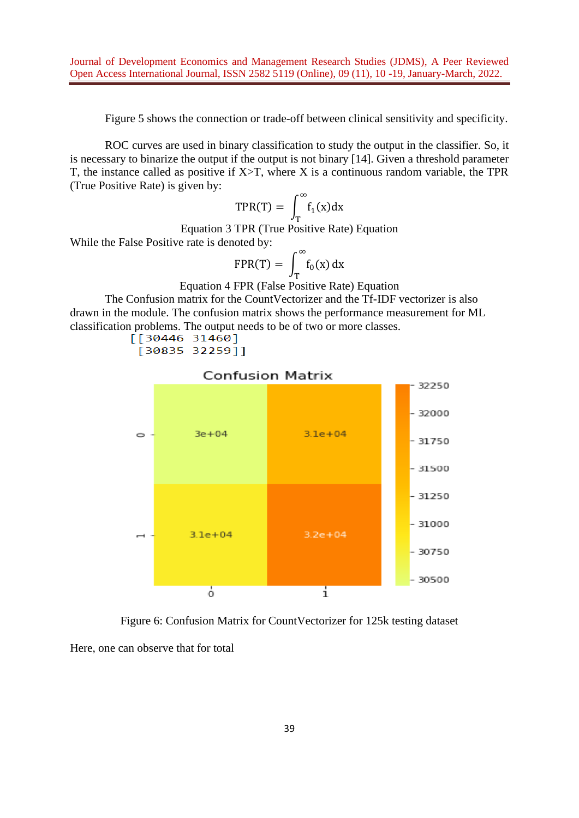Figure 5 shows the connection or trade-off between clinical sensitivity and specificity.

ROC curves are used in binary classification to study the output in the classifier. So, it is necessary to binarize the output if the output is not binary [14]. Given a threshold parameter T, the instance called as positive if  $X>T$ , where X is a continuous random variable, the TPR (True Positive Rate) is given by:

$$
\text{TPR}(T) = \int_T^{\infty} f_1(x) dx
$$

Equation 3 TPR (True Positive Rate) Equation

While the False Positive rate is denoted by:

$$
FPR(T) = \int_T^{\infty} f_0(x) dx
$$

Equation 4 FPR (False Positive Rate) Equation

The Confusion matrix for the CountVectorizer and the Tf-IDF vectorizer is also drawn in the module. The confusion matrix shows the performance measurement for ML classification problems. The output needs to be of two or more classes.<br> $[\begin{bmatrix} 30446 & 31460 \end{bmatrix}]$ 

[30835 32259]]



**Confusion Matrix** 

Figure 6: Confusion Matrix for CountVectorizer for 125k testing dataset Here, one can observe that for total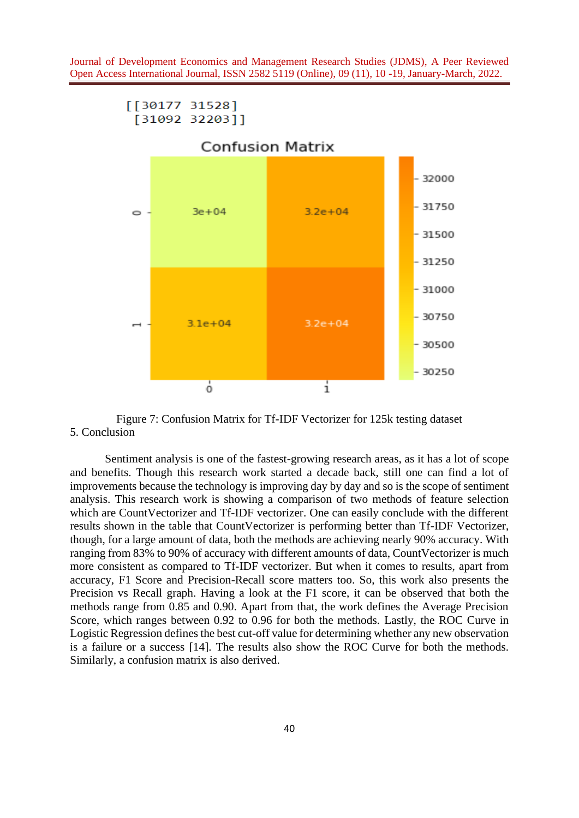

Figure 7: Confusion Matrix for Tf-IDF Vectorizer for 125k testing dataset 5. Conclusion

Sentiment analysis is one of the fastest-growing research areas, as it has a lot of scope and benefits. Though this research work started a decade back, still one can find a lot of improvements because the technology is improving day by day and so is the scope of sentiment analysis. This research work is showing a comparison of two methods of feature selection which are CountVectorizer and Tf-IDF vectorizer. One can easily conclude with the different results shown in the table that CountVectorizer is performing better than Tf-IDF Vectorizer, though, for a large amount of data, both the methods are achieving nearly 90% accuracy. With ranging from 83% to 90% of accuracy with different amounts of data, CountVectorizer is much more consistent as compared to Tf-IDF vectorizer. But when it comes to results, apart from accuracy, F1 Score and Precision-Recall score matters too. So, this work also presents the Precision vs Recall graph. Having a look at the F1 score, it can be observed that both the methods range from 0.85 and 0.90. Apart from that, the work defines the Average Precision Score, which ranges between 0.92 to 0.96 for both the methods. Lastly, the ROC Curve in Logistic Regression defines the best cut-off value for determining whether any new observation is a failure or a success [14]. The results also show the ROC Curve for both the methods. Similarly, a confusion matrix is also derived.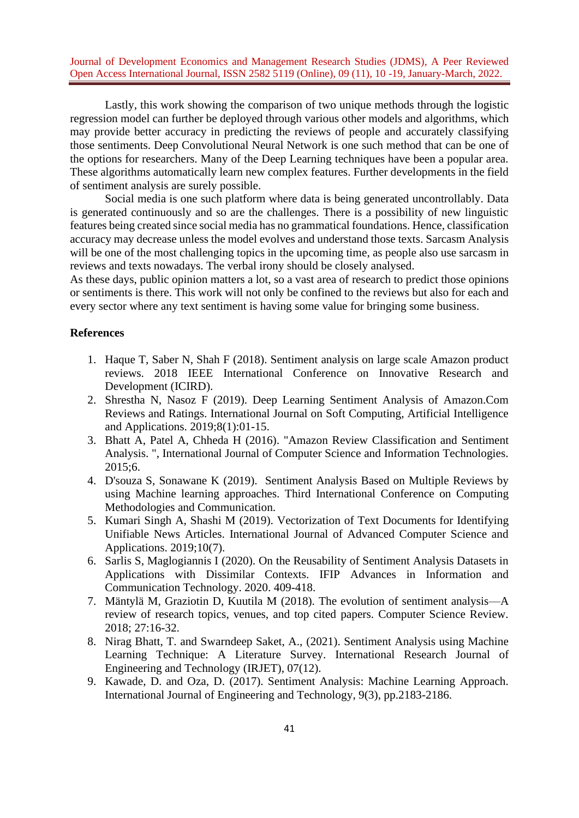Lastly, this work showing the comparison of two unique methods through the logistic regression model can further be deployed through various other models and algorithms, which may provide better accuracy in predicting the reviews of people and accurately classifying those sentiments. Deep Convolutional Neural Network is one such method that can be one of the options for researchers. Many of the Deep Learning techniques have been a popular area. These algorithms automatically learn new complex features. Further developments in the field of sentiment analysis are surely possible.

Social media is one such platform where data is being generated uncontrollably. Data is generated continuously and so are the challenges. There is a possibility of new linguistic features being created since social media has no grammatical foundations. Hence, classification accuracy may decrease unless the model evolves and understand those texts. Sarcasm Analysis will be one of the most challenging topics in the upcoming time, as people also use sarcasm in reviews and texts nowadays. The verbal irony should be closely analysed.

As these days, public opinion matters a lot, so a vast area of research to predict those opinions or sentiments is there. This work will not only be confined to the reviews but also for each and every sector where any text sentiment is having some value for bringing some business.

#### **References**

- 1. Haque T, Saber N, Shah F (2018). Sentiment analysis on large scale Amazon product reviews. 2018 IEEE International Conference on Innovative Research and Development (ICIRD).
- 2. Shrestha N, Nasoz F (2019). Deep Learning Sentiment Analysis of Amazon.Com Reviews and Ratings. International Journal on Soft Computing, Artificial Intelligence and Applications. 2019;8(1):01-15.
- 3. Bhatt A, Patel A, Chheda H (2016). "Amazon Review Classification and Sentiment Analysis. ", International Journal of Computer Science and Information Technologies. 2015;6.
- 4. D'souza S, Sonawane K (2019). Sentiment Analysis Based on Multiple Reviews by using Machine learning approaches. Third International Conference on Computing Methodologies and Communication.
- 5. Kumari Singh A, Shashi M (2019). Vectorization of Text Documents for Identifying Unifiable News Articles. International Journal of Advanced Computer Science and Applications. 2019;10(7).
- 6. Sarlis S, Maglogiannis I (2020). On the Reusability of Sentiment Analysis Datasets in Applications with Dissimilar Contexts. IFIP Advances in Information and Communication Technology. 2020. 409-418.
- 7. Mäntylä M, Graziotin D, Kuutila M (2018). The evolution of sentiment analysis—A review of research topics, venues, and top cited papers. Computer Science Review. 2018; 27:16-32.
- 8. Nirag Bhatt, T. and Swarndeep Saket, A., (2021). Sentiment Analysis using Machine Learning Technique: A Literature Survey. International Research Journal of Engineering and Technology (IRJET), 07(12).
- 9. Kawade, D. and Oza, D. (2017). Sentiment Analysis: Machine Learning Approach. International Journal of Engineering and Technology, 9(3), pp.2183-2186.